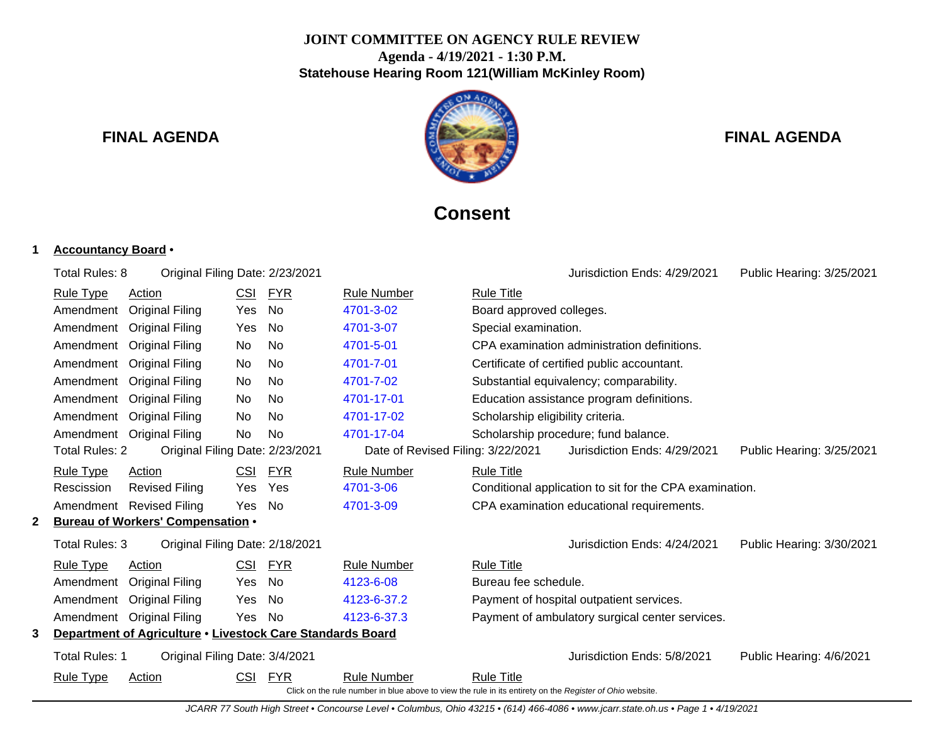## **JOINT COMMITTEE ON AGENCY RULE REVIEW Agenda - 4/19/2021 - 1:30 P.M. Statehouse Hearing Room 121(William McKinley Room)**



# **FINAL AGENDA FINAL AGENDA**

# **Consent**

## **1 Accountancy Board** •

|   | Total Rules: 8                                                                                           | Original Filing Date: 2/23/2021                            |            |            |                                   | Jurisdiction Ends: 4/29/2021<br>Public Hearing: 3/25/2021 |  |  |
|---|----------------------------------------------------------------------------------------------------------|------------------------------------------------------------|------------|------------|-----------------------------------|-----------------------------------------------------------|--|--|
|   | <b>Rule Type</b>                                                                                         | Action                                                     | CSI        | <b>FYR</b> | <b>Rule Number</b>                | <b>Rule Title</b>                                         |  |  |
|   | Amendment                                                                                                | <b>Original Filing</b>                                     | Yes        | No         | 4701-3-02                         | Board approved colleges.                                  |  |  |
|   |                                                                                                          | Amendment Original Filing                                  | Yes        | No         | 4701-3-07                         | Special examination.                                      |  |  |
|   | Amendment                                                                                                | <b>Original Filing</b>                                     | No         | No.        | 4701-5-01                         | CPA examination administration definitions.               |  |  |
|   | Amendment                                                                                                | <b>Original Filing</b>                                     | No         | No         | 4701-7-01                         | Certificate of certified public accountant.               |  |  |
|   | Amendment                                                                                                | <b>Original Filing</b>                                     | No         | No.        | 4701-7-02                         | Substantial equivalency; comparability.                   |  |  |
|   |                                                                                                          | Amendment Original Filing                                  | No         | No.        | 4701-17-01                        | Education assistance program definitions.                 |  |  |
|   |                                                                                                          | Amendment Original Filing                                  | No         | No         | 4701-17-02                        | Scholarship eligibility criteria.                         |  |  |
|   |                                                                                                          | Amendment Original Filing                                  | No.        | No         | 4701-17-04                        | Scholarship procedure; fund balance.                      |  |  |
|   | Total Rules: 2                                                                                           | Original Filing Date: 2/23/2021                            |            |            | Date of Revised Filing: 3/22/2021 | Jurisdiction Ends: 4/29/2021<br>Public Hearing: 3/25/2021 |  |  |
|   | <b>Rule Type</b>                                                                                         | Action                                                     | <b>CSI</b> | <b>FYR</b> | <b>Rule Number</b>                | <b>Rule Title</b>                                         |  |  |
|   | Rescission                                                                                               | <b>Revised Filing</b>                                      | Yes        | Yes        | 4701-3-06                         | Conditional application to sit for the CPA examination.   |  |  |
|   |                                                                                                          | Amendment Revised Filing                                   | <b>Yes</b> | No.        | 4701-3-09                         | CPA examination educational requirements.                 |  |  |
|   |                                                                                                          | <b>Bureau of Workers' Compensation .</b>                   |            |            |                                   |                                                           |  |  |
|   | Total Rules: 3                                                                                           | Original Filing Date: 2/18/2021                            |            |            |                                   | Jurisdiction Ends: 4/24/2021<br>Public Hearing: 3/30/2021 |  |  |
|   | <b>Rule Type</b>                                                                                         | Action                                                     | CSI        | <b>FYR</b> | <b>Rule Number</b>                | <b>Rule Title</b>                                         |  |  |
|   | Amendment                                                                                                | <b>Original Filing</b>                                     | Yes        | No         | 4123-6-08                         | Bureau fee schedule.                                      |  |  |
|   |                                                                                                          | Amendment Original Filing                                  | Yes        | No.        | 4123-6-37.2                       | Payment of hospital outpatient services.                  |  |  |
|   |                                                                                                          | Amendment Original Filing                                  | Yes        | - No       | 4123-6-37.3                       | Payment of ambulatory surgical center services.           |  |  |
| 3 |                                                                                                          | Department of Agriculture . Livestock Care Standards Board |            |            |                                   |                                                           |  |  |
|   | Total Rules: 1                                                                                           | Original Filing Date: 3/4/2021                             |            |            |                                   | Jurisdiction Ends: 5/8/2021<br>Public Hearing: 4/6/2021   |  |  |
|   | <b>Rule Type</b>                                                                                         | Action                                                     | <b>CSI</b> | FYR        | <b>Rule Number</b>                | <b>Rule Title</b>                                         |  |  |
|   | Click on the rule number in blue above to view the rule in its entirety on the Register of Ohio website. |                                                            |            |            |                                   |                                                           |  |  |

JCARR 77 South High Street • Concourse Level • Columbus, Ohio 43215 • (614) 466-4086 • www.jcarr.state.oh.us • Page 1 • 4/19/2021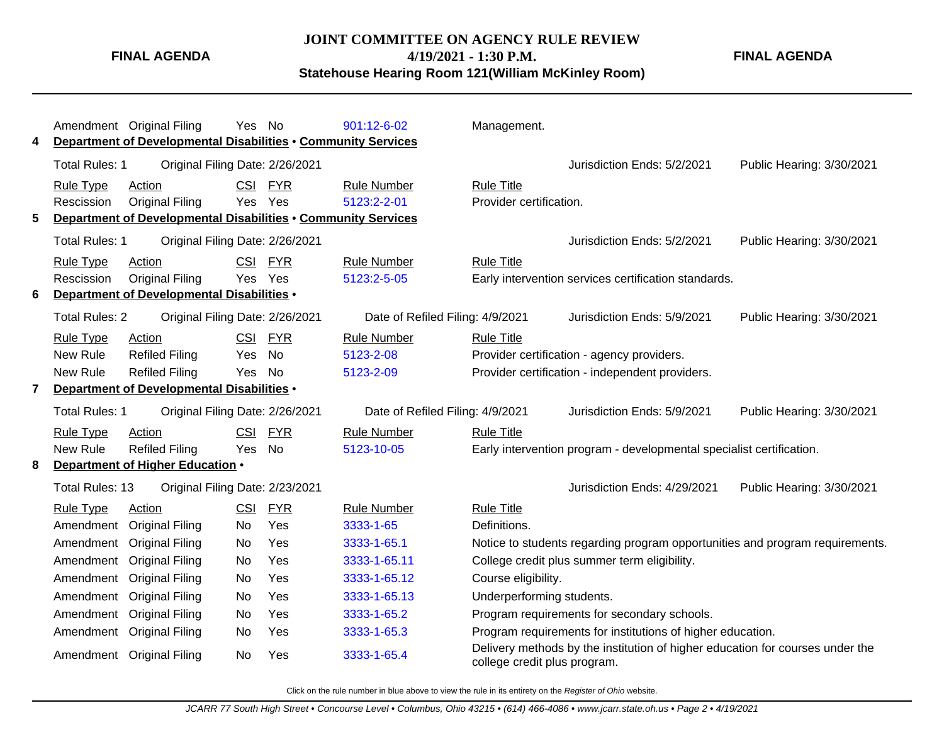#### **JOINT COMMITTEE ON AGENCY RULE REVIEW**

**FINAL AGENDA**

**4/19/2021 - 1:30 P.M.**

**Statehouse Hearing Room 121(William McKinley Room)**

Amendment Original Filing Yes No [901:12-6-02](http://www.registerofohio.state.oh.us/jsps/publicdisplayrules/processPublicDisplayRules.jsp?entered_rule_no=901:12-6-02&doWhat=GETBYRULENUM&raID=0) Management. **4 Department of Developmental Disabilities** • **Community Services** Total Rules: 1 Original Filing Date: 2/26/2021 Jurisdiction Ends: 5/2/2021 Public Hearing: 3/30/2021 Rule Type Action **CSI FYR** Rule Number Rule Title Rescission Original Filing Yes Yes [5123:2-2-01](http://www.registerofohio.state.oh.us/jsps/publicdisplayrules/processPublicDisplayRules.jsp?entered_rule_no=5123:2-2-01&doWhat=GETBYRULENUM&raID=0) Provider certification. **5 Department of Developmental Disabilities** • **Community Services** Total Rules: 1 Original Filing Date: 2/26/2021 Jurisdiction Ends: 5/2/2021 Public Hearing: 3/30/2021 Rule Type Action CSI FYR Rule Number Rule Title Rescission Original Filing Yes Yes [5123:2-5-05](http://www.registerofohio.state.oh.us/jsps/publicdisplayrules/processPublicDisplayRules.jsp?entered_rule_no=5123:2-5-05&doWhat=GETBYRULENUM&raID=0) Early intervention services certification standards. **6 Department of Developmental Disabilities** • Total Rules: 2 Original Filing Date: 2/26/2021 Date of Refiled Filing: 4/9/2021 Jurisdiction Ends: 5/9/2021 Public Hearing: 3/30/2021 Rule Type Action **CSI FYR** Rule Number Rule Title New Rule Refiled Filing Yes No [5123-2-08](http://www.registerofohio.state.oh.us/jsps/publicdisplayrules/processPublicDisplayRules.jsp?entered_rule_no=5123-2-08&doWhat=GETBYRULENUM&raID=0) Provider certification - agency providers. New Rule Refiled Filing Yes No [5123-2-09](http://www.registerofohio.state.oh.us/jsps/publicdisplayrules/processPublicDisplayRules.jsp?entered_rule_no=5123-2-09&doWhat=GETBYRULENUM&raID=0) Provider certification - independent providers. **7 Department of Developmental Disabilities** • Total Rules: 1 Original Filing Date: 2/26/2021 Date of Refiled Filing: 4/9/2021 Jurisdiction Ends: 5/9/2021 Public Hearing: 3/30/2021 Rule Type Action **CSI FYR** Rule Number Rule Title New Rule Refiled Filing Yes No [5123-10-05](http://www.registerofohio.state.oh.us/jsps/publicdisplayrules/processPublicDisplayRules.jsp?entered_rule_no=5123-10-05&doWhat=GETBYRULENUM&raID=0) Early intervention program - developmental specialist certification. **8 Department of Higher Education** • Total Rules: 13 Original Filing Date: 2/23/2021 Jurisdiction Ends: 4/29/2021 Public Hearing: 3/30/2021 Rule Type Action **CSI FYR** Rule Number Rule Title Amendment Original Filing No Yes [3333-1-65](http://www.registerofohio.state.oh.us/jsps/publicdisplayrules/processPublicDisplayRules.jsp?entered_rule_no=3333-1-65&doWhat=GETBYRULENUM&raID=0) Definitions. Amendment Original Filing No Yes [3333-1-65.1](http://www.registerofohio.state.oh.us/jsps/publicdisplayrules/processPublicDisplayRules.jsp?entered_rule_no=3333-1-65.1&doWhat=GETBYRULENUM&raID=0) Notice to students regarding program opportunities and program requirements. Amendment Original Filing No Yes [3333-1-65.11](http://www.registerofohio.state.oh.us/jsps/publicdisplayrules/processPublicDisplayRules.jsp?entered_rule_no=3333-1-65.11&doWhat=GETBYRULENUM&raID=0) College credit plus summer term eligibility. Amendment Original Filing No Yes [3333-1-65.12](http://www.registerofohio.state.oh.us/jsps/publicdisplayrules/processPublicDisplayRules.jsp?entered_rule_no=3333-1-65.12&doWhat=GETBYRULENUM&raID=0) Course eligibility. Amendment Original Filing No Yes [3333-1-65.13](http://www.registerofohio.state.oh.us/jsps/publicdisplayrules/processPublicDisplayRules.jsp?entered_rule_no=3333-1-65.13&doWhat=GETBYRULENUM&raID=0) Underperforming students. Amendment Original Filing No Yes [3333-1-65.2](http://www.registerofohio.state.oh.us/jsps/publicdisplayrules/processPublicDisplayRules.jsp?entered_rule_no=3333-1-65.2&doWhat=GETBYRULENUM&raID=0) Program requirements for secondary schools. Amendment Original Filing No Yes [3333-1-65.3](http://www.registerofohio.state.oh.us/jsps/publicdisplayrules/processPublicDisplayRules.jsp?entered_rule_no=3333-1-65.3&doWhat=GETBYRULENUM&raID=0) Program requirements for institutions of higher education. Amendment Original Filing No Yes [3333-1-65.4](http://www.registerofohio.state.oh.us/jsps/publicdisplayrules/processPublicDisplayRules.jsp?entered_rule_no=3333-1-65.4&doWhat=GETBYRULENUM&raID=0) Delivery methods by the institution of higher education for courses under the college credit plus program.

Click on the rule number in blue above to view the rule in its entirety on the Register of Ohio website.

**FINAL AGENDA**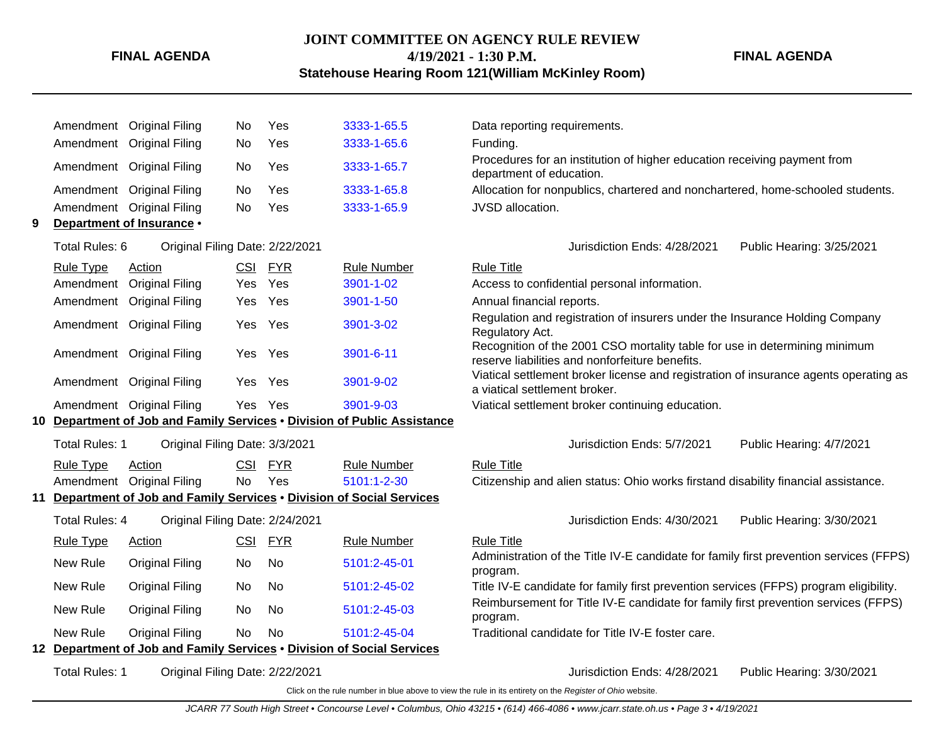## **JOINT COMMITTEE ON AGENCY RULE REVIEW 4/19/2021 - 1:30 P.M. Statehouse Hearing Room 121(William McKinley Room)**

### **FINAL AGENDA**

|    | Amendment             | <b>Original Filing</b>                                                 | No.        | Yes        | 3333-1-65.5                                                           | Data reporting requirements.                                                                                                  |  |
|----|-----------------------|------------------------------------------------------------------------|------------|------------|-----------------------------------------------------------------------|-------------------------------------------------------------------------------------------------------------------------------|--|
|    | Amendment             | <b>Original Filing</b>                                                 | No         | Yes        | 3333-1-65.6                                                           | Funding.                                                                                                                      |  |
|    |                       | Amendment Original Filing                                              | No         | Yes        | 3333-1-65.7                                                           | Procedures for an institution of higher education receiving payment from<br>department of education.                          |  |
|    |                       | Amendment Original Filing                                              | <b>No</b>  | Yes        | 3333-1-65.8                                                           | Allocation for nonpublics, chartered and nonchartered, home-schooled students.                                                |  |
|    |                       | Amendment Original Filing                                              | No.        | Yes        | 3333-1-65.9                                                           | JVSD allocation.                                                                                                              |  |
| 9  |                       | Department of Insurance .                                              |            |            |                                                                       |                                                                                                                               |  |
|    | Total Rules: 6        | Original Filing Date: 2/22/2021                                        |            |            |                                                                       | Jurisdiction Ends: 4/28/2021<br>Public Hearing: 3/25/2021                                                                     |  |
|    | <b>Rule Type</b>      | Action                                                                 | <b>CSI</b> | <b>FYR</b> | <b>Rule Number</b>                                                    | <b>Rule Title</b>                                                                                                             |  |
|    | Amendment             | <b>Original Filing</b>                                                 | Yes        | Yes        | 3901-1-02                                                             | Access to confidential personal information.                                                                                  |  |
|    | Amendment             | <b>Original Filing</b>                                                 | Yes        | Yes        | 3901-1-50                                                             | Annual financial reports.                                                                                                     |  |
|    |                       | Amendment Original Filing                                              | Yes        | Yes        | 3901-3-02                                                             | Regulation and registration of insurers under the Insurance Holding Company<br>Regulatory Act.                                |  |
|    |                       | Amendment Original Filing                                              | Yes        | Yes        | 3901-6-11                                                             | Recognition of the 2001 CSO mortality table for use in determining minimum<br>reserve liabilities and nonforfeiture benefits. |  |
|    |                       | Amendment Original Filing                                              | <b>Yes</b> | Yes        | 3901-9-02                                                             | Viatical settlement broker license and registration of insurance agents operating as<br>a viatical settlement broker.         |  |
|    |                       | Amendment Original Filing                                              | <b>Yes</b> | Yes        | 3901-9-03                                                             | Viatical settlement broker continuing education.                                                                              |  |
| 10 |                       |                                                                        |            |            | Department of Job and Family Services . Division of Public Assistance |                                                                                                                               |  |
|    | Total Rules: 1        | Original Filing Date: 3/3/2021                                         |            |            |                                                                       | Jurisdiction Ends: 5/7/2021<br>Public Hearing: 4/7/2021                                                                       |  |
|    | <b>Rule Type</b>      | Action                                                                 | <b>CSI</b> | <b>FYR</b> | <b>Rule Number</b>                                                    | <b>Rule Title</b>                                                                                                             |  |
|    | Amendment             | <b>Original Filing</b>                                                 | No         | Yes        | 5101:1-2-30                                                           | Citizenship and alien status: Ohio works firstand disability financial assistance.                                            |  |
| 11 |                       | Department of Job and Family Services . Division of Social Services    |            |            |                                                                       |                                                                                                                               |  |
|    | <b>Total Rules: 4</b> | Original Filing Date: 2/24/2021                                        |            |            |                                                                       | Jurisdiction Ends: 4/30/2021<br>Public Hearing: 3/30/2021                                                                     |  |
|    | Rule Type             | Action                                                                 | <u>CSI</u> | <b>FYR</b> | <b>Rule Number</b>                                                    | <b>Rule Title</b>                                                                                                             |  |
|    | New Rule              | <b>Original Filing</b>                                                 | No         | No         | 5101:2-45-01                                                          | Administration of the Title IV-E candidate for family first prevention services (FFPS)<br>program.                            |  |
|    | New Rule              | <b>Original Filing</b>                                                 | No         | No.        | 5101:2-45-02                                                          | Title IV-E candidate for family first prevention services (FFPS) program eligibility.                                         |  |
|    | New Rule              | <b>Original Filing</b>                                                 | No         | No         | 5101:2-45-03                                                          | Reimbursement for Title IV-E candidate for family first prevention services (FFPS)<br>program.                                |  |
|    | New Rule              | <b>Original Filing</b>                                                 | No         | <b>No</b>  | 5101:2-45-04                                                          | Traditional candidate for Title IV-E foster care.                                                                             |  |
|    |                       | 12 Department of Job and Family Services . Division of Social Services |            |            |                                                                       |                                                                                                                               |  |
|    | <b>Total Rules: 1</b> | Original Filing Date: 2/22/2021                                        |            |            |                                                                       | Jurisdiction Ends: 4/28/2021<br>Public Hearing: 3/30/2021                                                                     |  |
|    |                       |                                                                        |            |            |                                                                       | Click on the rule number in blue above to view the rule in its entirety on the Register of Ohio website.                      |  |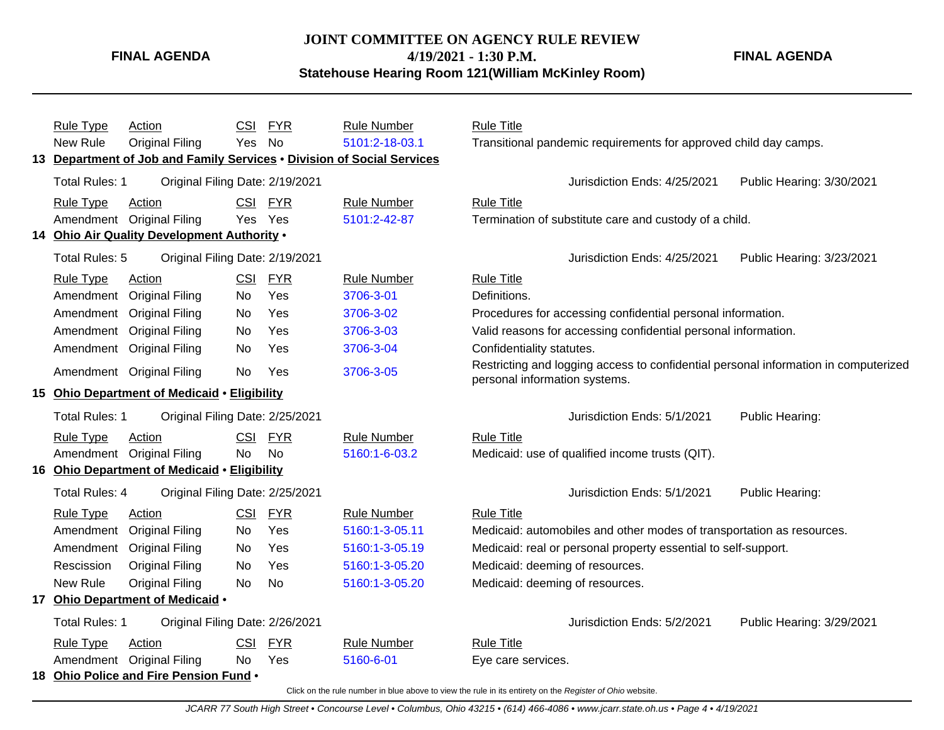## **JOINT COMMITTEE ON AGENCY RULE REVIEW 4/19/2021 - 1:30 P.M.**

**FINAL AGENDA**

**Statehouse Hearing Room 121(William McKinley Room)**

|                                                        | <b>Rule Type</b>                                                                                         | Action                                           | CSI        | <b>FYR</b> | <b>Rule Number</b> | <b>Rule Title</b>                                                                                                    |  |  |  |
|--------------------------------------------------------|----------------------------------------------------------------------------------------------------------|--------------------------------------------------|------------|------------|--------------------|----------------------------------------------------------------------------------------------------------------------|--|--|--|
|                                                        | New Rule                                                                                                 | <b>Original Filing</b>                           | Yes        | No         | 5101:2-18-03.1     | Transitional pandemic requirements for approved child day camps.                                                     |  |  |  |
| 13                                                     | Department of Job and Family Services . Division of Social Services                                      |                                                  |            |            |                    |                                                                                                                      |  |  |  |
|                                                        | <b>Total Rules: 1</b>                                                                                    | Original Filing Date: 2/19/2021                  |            |            |                    | Jurisdiction Ends: 4/25/2021<br>Public Hearing: 3/30/2021                                                            |  |  |  |
|                                                        | Rule Type                                                                                                | Action                                           |            | CSI FYR    | <b>Rule Number</b> | <b>Rule Title</b>                                                                                                    |  |  |  |
|                                                        |                                                                                                          | Amendment Original Filing                        | Yes Yes    |            | 5101:2-42-87       | Termination of substitute care and custody of a child.                                                               |  |  |  |
|                                                        |                                                                                                          | 14 Ohio Air Quality Development Authority .      |            |            |                    |                                                                                                                      |  |  |  |
|                                                        | Total Rules: 5                                                                                           | Original Filing Date: 2/19/2021                  |            |            |                    | Jurisdiction Ends: 4/25/2021<br>Public Hearing: 3/23/2021                                                            |  |  |  |
|                                                        | <b>Rule Type</b>                                                                                         | Action                                           |            | CSI FYR    | <b>Rule Number</b> | <b>Rule Title</b>                                                                                                    |  |  |  |
|                                                        | Amendment                                                                                                | <b>Original Filing</b>                           | No.        | Yes        | 3706-3-01          | Definitions.                                                                                                         |  |  |  |
|                                                        | Amendment                                                                                                | <b>Original Filing</b>                           | No         | Yes        | 3706-3-02          | Procedures for accessing confidential personal information.                                                          |  |  |  |
|                                                        | Amendment                                                                                                | <b>Original Filing</b>                           | <b>No</b>  | Yes        | 3706-3-03          | Valid reasons for accessing confidential personal information.                                                       |  |  |  |
|                                                        | Amendment                                                                                                | <b>Original Filing</b>                           | No         | Yes        | 3706-3-04          | Confidentiality statutes.                                                                                            |  |  |  |
|                                                        |                                                                                                          | Amendment Original Filing                        | No         | Yes        | 3706-3-05          | Restricting and logging access to confidential personal information in computerized<br>personal information systems. |  |  |  |
| <b>Ohio Department of Medicaid • Eligibility</b><br>15 |                                                                                                          |                                                  |            |            |                    |                                                                                                                      |  |  |  |
|                                                        | <b>Total Rules: 1</b>                                                                                    | Original Filing Date: 2/25/2021                  |            |            |                    | Jurisdiction Ends: 5/1/2021<br>Public Hearing:                                                                       |  |  |  |
|                                                        | <b>Rule Type</b>                                                                                         | Action                                           |            | CSI FYR    | <b>Rule Number</b> | <b>Rule Title</b>                                                                                                    |  |  |  |
|                                                        |                                                                                                          | Amendment Original Filing                        | <b>No</b>  | <b>No</b>  | 5160:1-6-03.2      | Medicaid: use of qualified income trusts (QIT).                                                                      |  |  |  |
| 16                                                     |                                                                                                          | <b>Ohio Department of Medicaid • Eligibility</b> |            |            |                    |                                                                                                                      |  |  |  |
|                                                        | <b>Total Rules: 4</b>                                                                                    | Original Filing Date: 2/25/2021                  |            |            |                    | Jurisdiction Ends: 5/1/2021<br>Public Hearing:                                                                       |  |  |  |
|                                                        | <b>Rule Type</b>                                                                                         | Action                                           | <b>CSI</b> | <b>FYR</b> | <b>Rule Number</b> | <b>Rule Title</b>                                                                                                    |  |  |  |
|                                                        | Amendment                                                                                                | <b>Original Filing</b>                           | No         | Yes        | 5160:1-3-05.11     | Medicaid: automobiles and other modes of transportation as resources.                                                |  |  |  |
|                                                        |                                                                                                          | Amendment Original Filing                        | No         | Yes        | 5160:1-3-05.19     | Medicaid: real or personal property essential to self-support.                                                       |  |  |  |
|                                                        | Rescission                                                                                               | <b>Original Filing</b>                           | <b>No</b>  | Yes        | 5160:1-3-05.20     | Medicaid: deeming of resources.                                                                                      |  |  |  |
|                                                        | New Rule                                                                                                 | <b>Original Filing</b>                           | No         | <b>No</b>  | 5160:1-3-05.20     | Medicaid: deeming of resources.                                                                                      |  |  |  |
| 17                                                     |                                                                                                          | Ohio Department of Medicaid .                    |            |            |                    |                                                                                                                      |  |  |  |
|                                                        | <b>Total Rules: 1</b>                                                                                    | Original Filing Date: 2/26/2021                  |            |            |                    | Jurisdiction Ends: 5/2/2021<br>Public Hearing: 3/29/2021                                                             |  |  |  |
|                                                        | <b>Rule Type</b>                                                                                         | <b>Action</b>                                    | <b>CSI</b> | <b>FYR</b> | <b>Rule Number</b> | <b>Rule Title</b>                                                                                                    |  |  |  |
|                                                        |                                                                                                          | Amendment Original Filing                        | No.        | Yes        | 5160-6-01          | Eye care services.                                                                                                   |  |  |  |
| 18                                                     |                                                                                                          | Ohio Police and Fire Pension Fund .              |            |            |                    |                                                                                                                      |  |  |  |
|                                                        | Click on the rule number in blue above to view the rule in its entirety on the Register of Ohio website. |                                                  |            |            |                    |                                                                                                                      |  |  |  |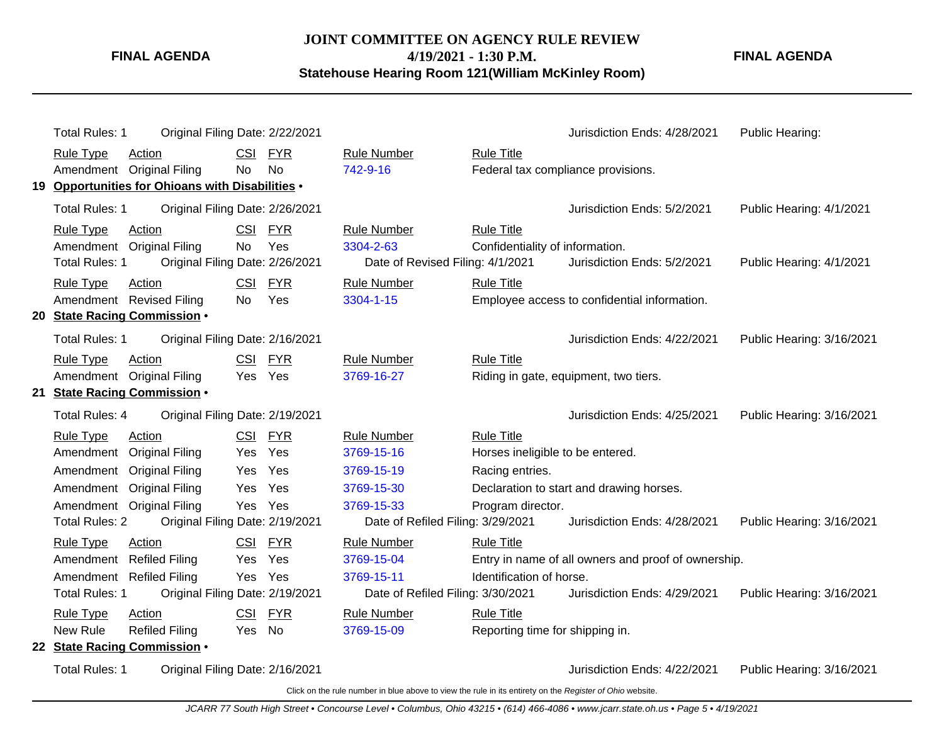**JOINT COMMITTEE ON AGENCY RULE REVIEW 4/19/2021 - 1:30 P.M.**

**FINAL AGENDA**

**Statehouse Hearing Room 121(William McKinley Room)**

| Total Rules: 1                                   | Original Filing Date: 2/22/2021 |            |                                   |                                    | Jurisdiction Ends: 4/28/2021                        | Public Hearing:           |
|--------------------------------------------------|---------------------------------|------------|-----------------------------------|------------------------------------|-----------------------------------------------------|---------------------------|
| <b>Rule Type</b><br>Action                       | <b>CSI</b>                      | FYR        | <b>Rule Number</b>                | <b>Rule Title</b>                  |                                                     |                           |
| Amendment Original Filing                        | No                              | No         | 742-9-16                          | Federal tax compliance provisions. |                                                     |                           |
| 19 Opportunities for Ohioans with Disabilities . |                                 |            |                                   |                                    |                                                     |                           |
| Total Rules: 1                                   | Original Filing Date: 2/26/2021 |            |                                   |                                    | Jurisdiction Ends: 5/2/2021                         | Public Hearing: 4/1/2021  |
| <b>Rule Type</b><br>Action                       |                                 | CSI FYR    | <b>Rule Number</b>                | <b>Rule Title</b>                  |                                                     |                           |
| Amendment Original Filing                        | <b>No</b>                       | Yes        | 3304-2-63                         | Confidentiality of information.    |                                                     |                           |
| Total Rules: 1                                   | Original Filing Date: 2/26/2021 |            | Date of Revised Filing: 4/1/2021  |                                    | Jurisdiction Ends: 5/2/2021                         | Public Hearing: 4/1/2021  |
| <b>Rule Type</b><br>Action                       |                                 | CSI FYR    | <b>Rule Number</b>                | <b>Rule Title</b>                  |                                                     |                           |
| Amendment Revised Filing                         | No.                             | Yes        | 3304-1-15                         |                                    | Employee access to confidential information.        |                           |
| 20 State Racing Commission .                     |                                 |            |                                   |                                    |                                                     |                           |
| Total Rules: 1                                   | Original Filing Date: 2/16/2021 |            |                                   |                                    | Jurisdiction Ends: 4/22/2021                        | Public Hearing: 3/16/2021 |
| <b>Rule Type</b><br>Action                       |                                 | CSI FYR    | <b>Rule Number</b>                | <b>Rule Title</b>                  |                                                     |                           |
| Amendment Original Filing                        |                                 | Yes Yes    | 3769-16-27                        |                                    | Riding in gate, equipment, two tiers.               |                           |
| 21 State Racing Commission .                     |                                 |            |                                   |                                    |                                                     |                           |
| Total Rules: 4                                   | Original Filing Date: 2/19/2021 |            |                                   |                                    | Jurisdiction Ends: 4/25/2021                        | Public Hearing: 3/16/2021 |
| <b>Rule Type</b><br>Action                       |                                 | CSI FYR    | <b>Rule Number</b>                | <b>Rule Title</b>                  |                                                     |                           |
| Amendment                                        | <b>Original Filing</b><br>Yes   | Yes        | 3769-15-16                        | Horses ineligible to be entered.   |                                                     |                           |
| Amendment                                        | <b>Original Filing</b><br>Yes   | Yes        | 3769-15-19                        | Racing entries.                    |                                                     |                           |
| Amendment                                        | <b>Original Filing</b><br>Yes   | Yes        | 3769-15-30                        |                                    | Declaration to start and drawing horses.            |                           |
| Amendment Original Filing                        |                                 | Yes Yes    | 3769-15-33                        | Program director.                  |                                                     |                           |
| <b>Total Rules: 2</b>                            | Original Filing Date: 2/19/2021 |            | Date of Refiled Filing: 3/29/2021 |                                    | Jurisdiction Ends: 4/28/2021                        | Public Hearing: 3/16/2021 |
| <b>Rule Type</b><br>Action                       | <b>CSI</b>                      | <b>FYR</b> | <b>Rule Number</b>                | <b>Rule Title</b>                  |                                                     |                           |
| Amendment                                        | <b>Refiled Filing</b><br>Yes    | Yes        | 3769-15-04                        |                                    | Entry in name of all owners and proof of ownership. |                           |
| Amendment Refiled Filing                         | Yes                             | Yes        | 3769-15-11                        | Identification of horse.           |                                                     |                           |
| <b>Total Rules: 1</b>                            | Original Filing Date: 2/19/2021 |            | Date of Refiled Filing: 3/30/2021 |                                    | Jurisdiction Ends: 4/29/2021                        | Public Hearing: 3/16/2021 |
| <b>Rule Type</b><br><b>Action</b>                | CSI                             | <b>FYR</b> | <b>Rule Number</b>                | <b>Rule Title</b>                  |                                                     |                           |
| New Rule                                         | <b>Refiled Filing</b><br>Yes    | No         | 3769-15-09                        | Reporting time for shipping in.    |                                                     |                           |
| 22 State Racing Commission .                     |                                 |            |                                   |                                    |                                                     |                           |
| <b>Total Rules: 1</b>                            | Original Filing Date: 2/16/2021 |            |                                   |                                    | Jurisdiction Ends: 4/22/2021                        | Public Hearing: 3/16/2021 |

Click on the rule number in blue above to view the rule in its entirety on the Register of Ohio website.